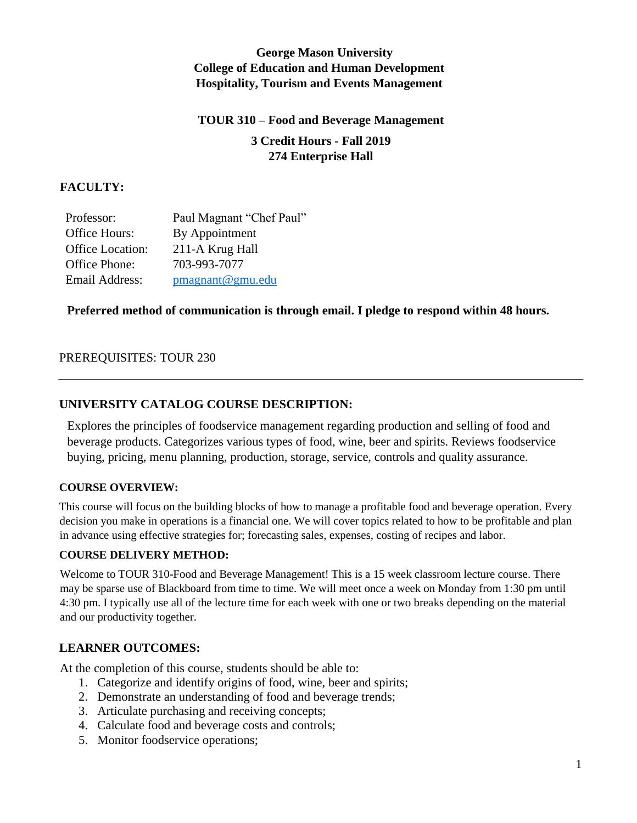## **George Mason University College of Education and Human Development Hospitality, Tourism and Events Management**

# **TOUR 310 – Food and Beverage Management 3 Credit Hours - Fall 2019 274 Enterprise Hall**

## **FACULTY:**

| Professor:              | Paul Magnant "Chef Paul" |
|-------------------------|--------------------------|
| Office Hours:           | By Appointment           |
| <b>Office Location:</b> | 211-A Krug Hall          |
| Office Phone:           | 703-993-7077             |
| Email Address:          | pmagnant@gmu.edu         |

## **Preferred method of communication is through email. I pledge to respond within 48 hours.**

## PREREQUISITES: TOUR 230

## **UNIVERSITY CATALOG COURSE DESCRIPTION:**

Explores the principles of foodservice management regarding production and selling of food and beverage products. Categorizes various types of food, wine, beer and spirits. Reviews foodservice buying, pricing, menu planning, production, storage, service, controls and quality assurance.

#### **COURSE OVERVIEW:**

This course will focus on the building blocks of how to manage a profitable food and beverage operation. Every decision you make in operations is a financial one. We will cover topics related to how to be profitable and plan in advance using effective strategies for; forecasting sales, expenses, costing of recipes and labor.

#### **COURSE DELIVERY METHOD:**

Welcome to TOUR 310-Food and Beverage Management! This is a 15 week classroom lecture course. There may be sparse use of Blackboard from time to time. We will meet once a week on Monday from 1:30 pm until 4:30 pm. I typically use all of the lecture time for each week with one or two breaks depending on the material and our productivity together.

#### **LEARNER OUTCOMES:**

At the completion of this course, students should be able to:

- 1. Categorize and identify origins of food, wine, beer and spirits;
- 2. Demonstrate an understanding of food and beverage trends;
- 3. Articulate purchasing and receiving concepts;
- 4. Calculate food and beverage costs and controls;
- 5. Monitor foodservice operations;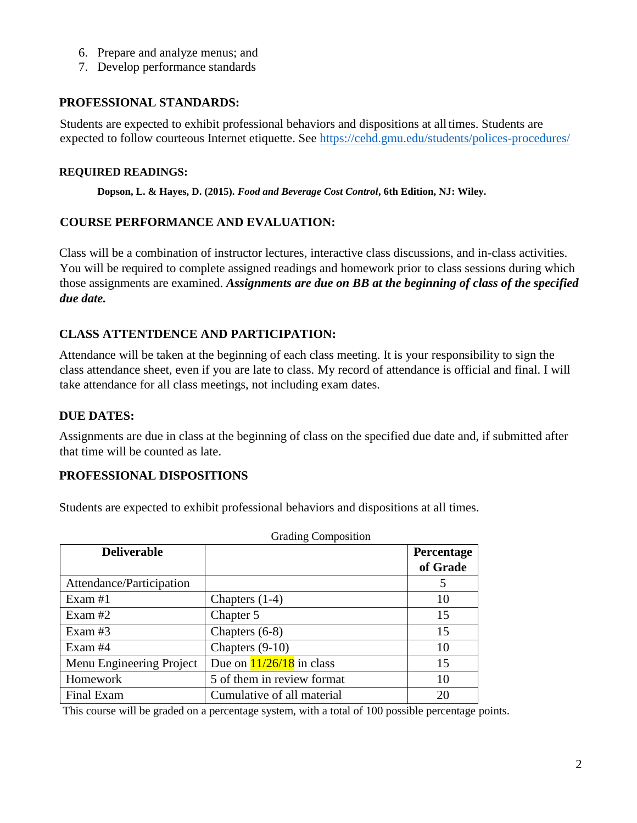- 6. Prepare and analyze menus; and
- 7. Develop performance standards

## **PROFESSIONAL STANDARDS:**

Students are expected to exhibit professional behaviors and dispositions at alltimes. Students are expected to follow courteous Internet etiquette. See<https://cehd.gmu.edu/students/polices-procedures/>

## **REQUIRED READINGS:**

**Dopson, L. & Hayes, D. (2015).** *Food and Beverage Cost Control***, 6th Edition, NJ: Wiley.** 

## **COURSE PERFORMANCE AND EVALUATION:**

Class will be a combination of instructor lectures, interactive class discussions, and in-class activities. You will be required to complete assigned readings and homework prior to class sessions during which those assignments are examined. *Assignments are due on BB at the beginning of class of the specified due date.*

## **CLASS ATTENTDENCE AND PARTICIPATION:**

Attendance will be taken at the beginning of each class meeting. It is your responsibility to sign the class attendance sheet, even if you are late to class. My record of attendance is official and final. I will take attendance for all class meetings, not including exam dates.

## **DUE DATES:**

Assignments are due in class at the beginning of class on the specified due date and, if submitted after that time will be counted as late.

## **PROFESSIONAL DISPOSITIONS**

Students are expected to exhibit professional behaviors and dispositions at all times.

|                          | <b>Grading Composition</b>         |                   |  |
|--------------------------|------------------------------------|-------------------|--|
| <b>Deliverable</b>       |                                    | <b>Percentage</b> |  |
|                          |                                    | of Grade          |  |
| Attendance/Participation |                                    | 5                 |  |
| Exam $#1$                | Chapters $(1-4)$                   | 10                |  |
| Exam $#2$                | Chapter 5                          | 15                |  |
| Exam $#3$                | Chapters $(6-8)$                   | 15                |  |
| Exam #4                  | Chapters $(9-10)$                  | 10                |  |
| Menu Engineering Project | Due on $\frac{11}{26}/18$ in class | 15                |  |
| Homework                 | 5 of them in review format         | 10                |  |
| Final Exam               | Cumulative of all material         | 20                |  |

This course will be graded on a percentage system, with a total of 100 possible percentage points.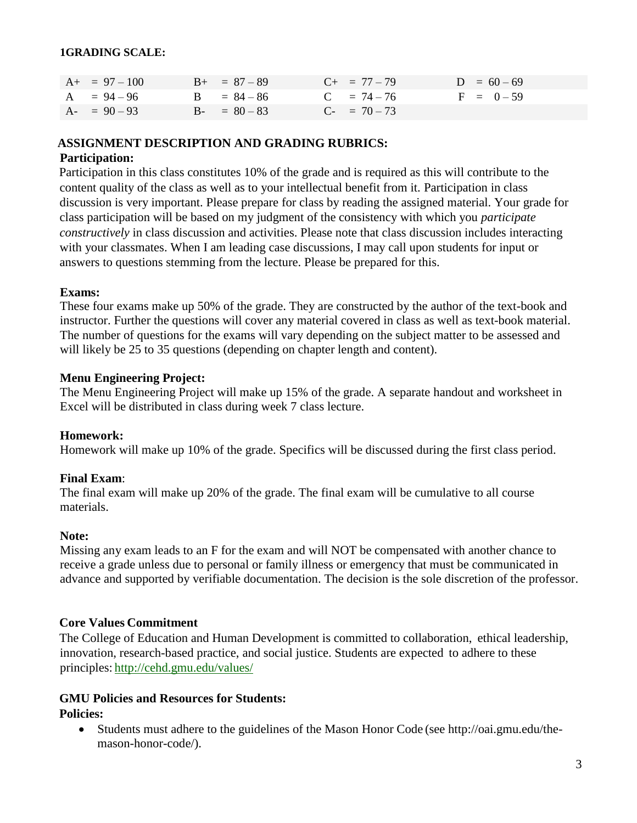#### **1GRADING SCALE:**

| $A+ = 97 - 100$ | $B_{+} = 87 - 89$ | $C_{+}$ = 77 – 79 | $D = 60 - 69$ |
|-----------------|-------------------|-------------------|---------------|
| $A = 94 - 96$   | $B = 84 - 86$     | $C = 74 - 76$     | $F = 0 - 59$  |
| $A - 90 - 93$   | $B - = 80 - 83$   | $C_{-}$ = 70 – 73 |               |

#### **ASSIGNMENT DESCRIPTION AND GRADING RUBRICS:**

#### **Participation:**

Participation in this class constitutes 10% of the grade and is required as this will contribute to the content quality of the class as well as to your intellectual benefit from it. Participation in class discussion is very important. Please prepare for class by reading the assigned material. Your grade for class participation will be based on my judgment of the consistency with which you *participate constructively* in class discussion and activities. Please note that class discussion includes interacting with your classmates. When I am leading case discussions, I may call upon students for input or answers to questions stemming from the lecture. Please be prepared for this.

#### **Exams:**

These four exams make up 50% of the grade. They are constructed by the author of the text-book and instructor. Further the questions will cover any material covered in class as well as text-book material. The number of questions for the exams will vary depending on the subject matter to be assessed and will likely be 25 to 35 questions (depending on chapter length and content).

#### **Menu Engineering Project:**

The Menu Engineering Project will make up 15% of the grade. A separate handout and worksheet in Excel will be distributed in class during week 7 class lecture.

#### **Homework:**

Homework will make up 10% of the grade. Specifics will be discussed during the first class period.

#### **Final Exam**:

The final exam will make up 20% of the grade. The final exam will be cumulative to all course materials.

#### **Note:**

Missing any exam leads to an F for the exam and will NOT be compensated with another chance to receive a grade unless due to personal or family illness or emergency that must be communicated in advance and supported by verifiable documentation. The decision is the sole discretion of the professor.

#### **Core Values Commitment**

The College of Education and Human Development is committed to collaboration, ethical leadership, innovation, research-based practice, and social justice. Students are expected to adhere to these principles: <http://cehd.gmu.edu/values/>

#### **GMU Policies and Resources for Students: Policies:**

 Students must adhere to the guidelines of the Mason Honor Code (see [http://oai.gmu.edu/the](http://oai.gmu.edu/the-mason-honor-code/)[mason-honor-code/\)](http://oai.gmu.edu/the-mason-honor-code/).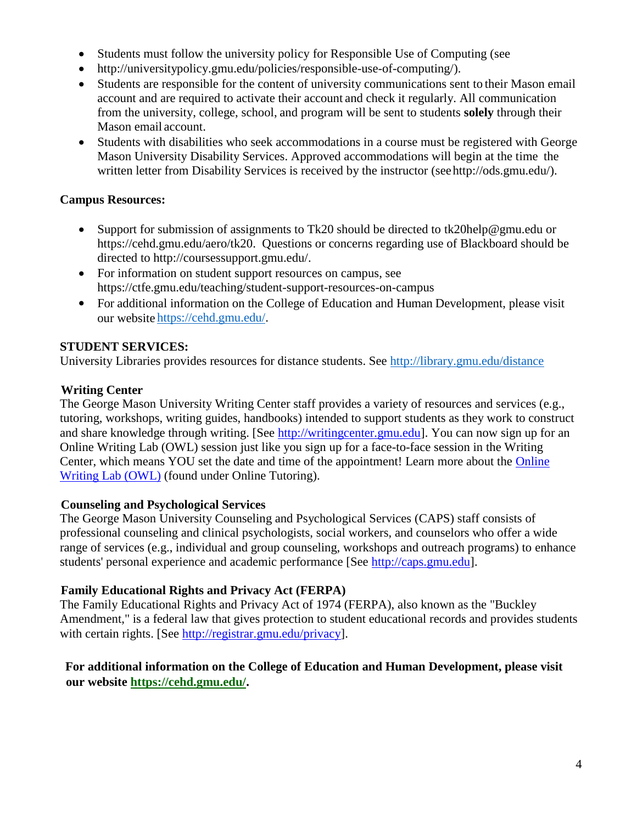- Students must follow the university policy for Responsible Use of Computing (see
- [http://universitypolicy.gmu.edu/policies/responsible-use-of-computing/\)](http://universitypolicy.gmu.edu/policies/responsible-use-of-computing/).
- Students are responsible for the content of university communications sent to their Mason email account and are required to activate their account and check it regularly. All communication from the university, college, school, and program will be sent to students **solely** through their Mason email account.
- Students with disabilities who seek accommodations in a course must be registered with George Mason University Disability Services. Approved accommodations will begin at the time the written letter from Disability Services is received by the instructor (se[ehttp://ods.gmu.edu/\)](http://ods.gmu.edu/).

## **Campus Resources:**

- Support for submission of assignments to Tk20 should be directed to [tk20help@gmu.edu](mailto:tk20help@gmu.edu) or [https://cehd.gmu.edu/aero/tk20.](https://cehd.gmu.edu/aero/tk20) Questions or concerns regarding use of Blackboard should be directed to [http://coursessupport.gmu.edu/.](http://coursessupport.gmu.edu/)
- For information on student support resources on campus, see <https://ctfe.gmu.edu/teaching/student-support-resources-on-campus>
- For additional information on the College of Education and Human Development, please visit our website [https://cehd.gmu.edu/.](https://cehd.gmu.edu/)

## **STUDENT SERVICES:**

University Libraries provides resources for distance students. See<http://library.gmu.edu/distance>

## **Writing Center**

The George Mason University Writing Center staff provides a variety of resources and services (e.g., tutoring, workshops, writing guides, handbooks) intended to support students as they work to construct and share knowledge through writing. [See [http://writingcenter.gmu.edu\]](http://writingcenter.gmu.edu/%20/%20Writing%20Center). You can now sign up for an Online Writing Lab (OWL) session just like you sign up for a face-to-face session in the Writing Center, which means YOU set the date and time of the appointment! Learn more about the [Online](http://writingcenter.gmu.edu/?page_id=177%20/%20more-177%20/%20_new)  [Writing Lab \(OWL\)](http://writingcenter.gmu.edu/?page_id=177%20/%20more-177%20/%20_new) (found under Online Tutoring).

## **Counseling and Psychological Services**

The George Mason University Counseling and Psychological Services (CAPS) staff consists of professional counseling and clinical psychologists, social workers, and counselors who offer a wide range of services (e.g., individual and group counseling, workshops and outreach programs) to enhance students' personal experience and academic performance [See [http://caps.gmu.edu\]](http://caps.gmu.edu/%20/%20CAPS%20Office).

## **Family Educational Rights and Privacy Act (FERPA)**

The Family Educational Rights and Privacy Act of 1974 (FERPA), also known as the "Buckley Amendment," is a federal law that gives protection to student educational records and provides students with certain rights. [See [http://registrar.gmu.edu/privacy\]](http://registrar.gmu.edu/privacy%20/%20Registrar%20FERPA%20Policy).

## **For additional information on the College of Education and Human Development, please visit our website https://cehd.gmu.edu/.**